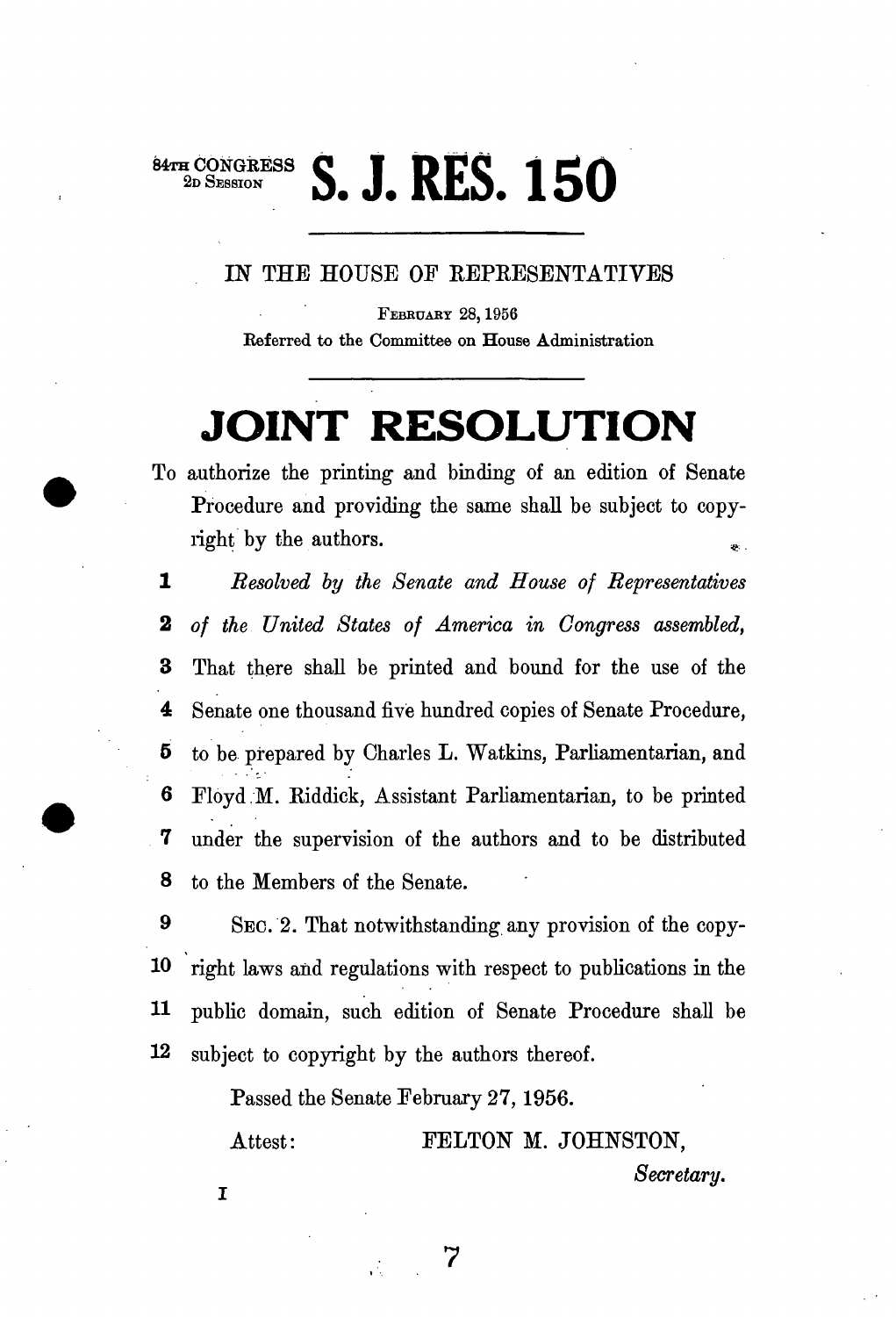## **84TH CONGRESS**<br>
2D SESSION **2. J. RES. 150**

**IN THE HOUSE OF REPRESENTATIVES** 

**FEBRUARY 28,1956 Referred to the Committee on House Administration** 

## **JOINT RESOLUTION**

**To authorize the printing and binding of an edition of Senate Procedure and providing the same shall be subject to copyright** by the authors.

1 *Resolved by the Senate and House of Representatives*  2 *of the United States of America in Congress assembled,*  **3 That there shall be printed and bound for the use of the 4 Senate one thousand five hundred copies of Senate Procedure, 5 to be prepared by Charles L. Watkins, Parliamentarian, and 6** Floyd M. Riddick, Assistant Parliamentarian, to be printed **7 under the supervision of the authors and to be distributed 8 to the Members of the Senate.** 

**9 SEC. 2. That notwithstanding any provision of the copy-10 right laws and regulations with respect to publications in the 11 public domain, such edition of Senate Procedure shall be 12 subject to copyright by the authors thereof.** 

**Passed the Senate February 27, 1956.** 

Attest: **PELTON M. JOHNSTON,** *Secretary.*   $\mathbf I$ 

*7*